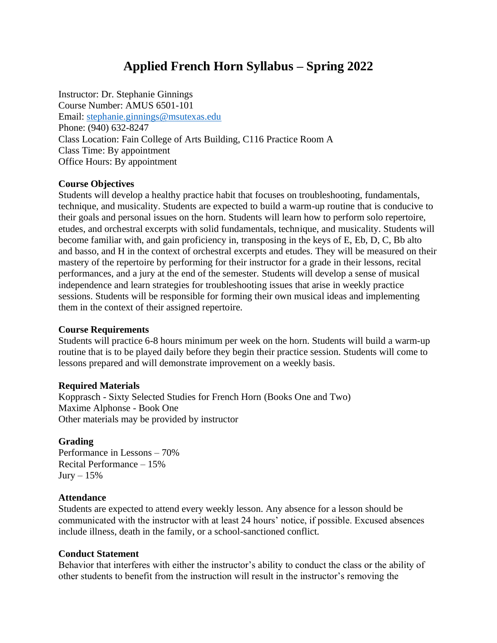# **Applied French Horn Syllabus – Spring 2022**

Instructor: Dr. Stephanie Ginnings Course Number: AMUS 6501-101 Email: [stephanie.ginnings@msutexas.edu](mailto:stephanie.ginnings@msutexas.edu) Phone: (940) 632-8247 Class Location: Fain College of Arts Building, C116 Practice Room A Class Time: By appointment Office Hours: By appointment

## **Course Objectives**

Students will develop a healthy practice habit that focuses on troubleshooting, fundamentals, technique, and musicality. Students are expected to build a warm-up routine that is conducive to their goals and personal issues on the horn. Students will learn how to perform solo repertoire, etudes, and orchestral excerpts with solid fundamentals, technique, and musicality. Students will become familiar with, and gain proficiency in, transposing in the keys of E, Eb, D, C, Bb alto and basso, and H in the context of orchestral excerpts and etudes. They will be measured on their mastery of the repertoire by performing for their instructor for a grade in their lessons, recital performances, and a jury at the end of the semester. Students will develop a sense of musical independence and learn strategies for troubleshooting issues that arise in weekly practice sessions. Students will be responsible for forming their own musical ideas and implementing them in the context of their assigned repertoire.

### **Course Requirements**

Students will practice 6-8 hours minimum per week on the horn. Students will build a warm-up routine that is to be played daily before they begin their practice session. Students will come to lessons prepared and will demonstrate improvement on a weekly basis.

### **Required Materials**

Kopprasch - Sixty Selected Studies for French Horn (Books One and Two) Maxime Alphonse - Book One Other materials may be provided by instructor

## **Grading**

Performance in Lessons – 70% Recital Performance – 15%  $Jury - 15%$ 

### **Attendance**

Students are expected to attend every weekly lesson. Any absence for a lesson should be communicated with the instructor with at least 24 hours' notice, if possible. Excused absences include illness, death in the family, or a school-sanctioned conflict.

## **Conduct Statement**

Behavior that interferes with either the instructor's ability to conduct the class or the ability of other students to benefit from the instruction will result in the instructor's removing the